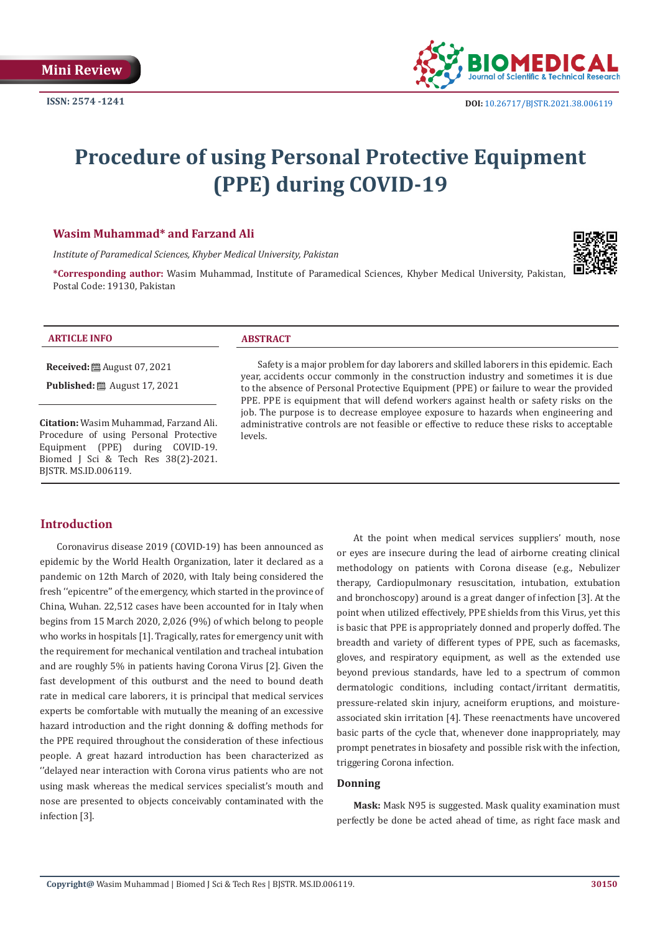**ISSN: 2574 -1241**



# **Procedure of using Personal Protective Equipment (PPE) during COVID-19**

# **Wasim Muhammad\* and Farzand Ali**

*Institute of Paramedical Sciences, Khyber Medical University, Pakistan*

**\*Corresponding author:** Wasim Muhammad, Institute of Paramedical Sciences, Khyber Medical University, Pakistan, Postal Code: 19130, Pakistan

#### **ARTICLE INFO ABSTRACT**

**Received:** August 07, 2021

**Published:** ■ August 17, 2021

**Citation:** Wasim Muhammad, Farzand Ali. Procedure of using Personal Protective Equipment (PPE) during COVID-19. Biomed J Sci & Tech Res 38(2)-2021. BJSTR. MS.ID.006119.

Safety is a major problem for day laborers and skilled laborers in this epidemic. Each year, accidents occur commonly in the construction industry and sometimes it is due to the absence of Personal Protective Equipment (PPE) or failure to wear the provided PPE. PPE is equipment that will defend workers against health or safety risks on the job. The purpose is to decrease employee exposure to hazards when engineering and administrative controls are not feasible or effective to reduce these risks to acceptable levels.

# **Introduction**

Coronavirus disease 2019 (COVID-19) has been announced as epidemic by the World Health Organization, later it declared as a pandemic on 12th March of 2020, with Italy being considered the fresh ''epicentre'' of the emergency, which started in the province of China, Wuhan. 22,512 cases have been accounted for in Italy when begins from 15 March 2020, 2,026 (9%) of which belong to people who works in hospitals [1]. Tragically, rates for emergency unit with the requirement for mechanical ventilation and tracheal intubation and are roughly 5% in patients having Corona Virus [2]. Given the fast development of this outburst and the need to bound death rate in medical care laborers, it is principal that medical services experts be comfortable with mutually the meaning of an excessive hazard introduction and the right donning & doffing methods for the PPE required throughout the consideration of these infectious people. A great hazard introduction has been characterized as ''delayed near interaction with Corona virus patients who are not using mask whereas the medical services specialist's mouth and nose are presented to objects conceivably contaminated with the infection [3].

At the point when medical services suppliers' mouth, nose or eyes are insecure during the lead of airborne creating clinical methodology on patients with Corona disease (e.g., Nebulizer therapy, Cardiopulmonary resuscitation, intubation, extubation and bronchoscopy) around is a great danger of infection [3]. At the point when utilized effectively, PPE shields from this Virus, yet this is basic that PPE is appropriately donned and properly doffed. The breadth and variety of different types of PPE, such as facemasks, gloves, and respiratory equipment, as well as the extended use beyond previous standards, have led to a spectrum of common dermatologic conditions, including contact/irritant dermatitis, pressure-related skin injury, acneiform eruptions, and moistureassociated skin irritation [4]. These reenactments have uncovered basic parts of the cycle that, whenever done inappropriately, may prompt penetrates in biosafety and possible risk with the infection, triggering Corona infection.

#### **Donning**

**Mask:** Mask N95 is suggested. Mask quality examination must perfectly be done be acted ahead of time, as right face mask and